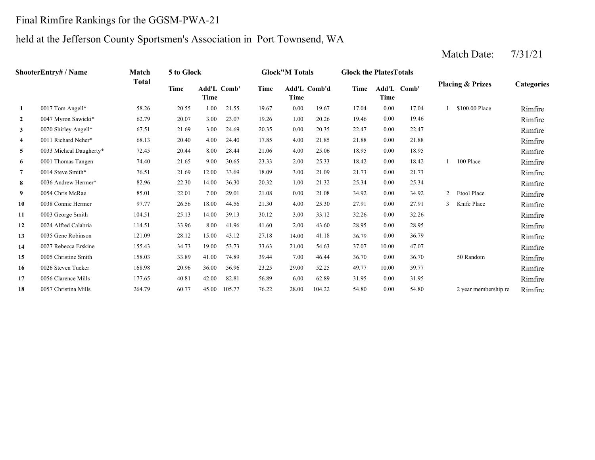### Final Rimfire Rankings for the GGSM-PWA-21

# held at the Jefferson County Sportsmen's Association in Port Townsend, WA

|                         | ShooterEntry# / Name    | Match  | 5 to Glock |                            |        |       | <b>Glock</b> "M Totals |              | <b>Glock the Plates Totals</b> |             |             |                |                             |            |
|-------------------------|-------------------------|--------|------------|----------------------------|--------|-------|------------------------|--------------|--------------------------------|-------------|-------------|----------------|-----------------------------|------------|
|                         |                         | Total  | Time       | <b>Add'L Comb'</b><br>Time |        | Time  | Time                   | Add'L Comb'd | Time                           | <b>Time</b> | Add'L Comb' |                | <b>Placing &amp; Prizes</b> | Categories |
| 1                       | 0017 Tom Angell*        | 58.26  | 20.55      | 1.00                       | 21.55  | 19.67 | 0.00                   | 19.67        | 17.04                          | 0.00        | 17.04       |                | \$100.00 Place              | Rimfire    |
| $\overline{2}$          | 0047 Myron Sawicki*     | 62.79  | 20.07      | 3.00                       | 23.07  | 19.26 | 1.00                   | 20.26        | 19.46                          | 0.00        | 19.46       |                |                             | Rimfire    |
| $\mathbf{3}$            | 0020 Shirley Angell*    | 67.51  | 21.69      | 3.00                       | 24.69  | 20.35 | 0.00                   | 20.35        | 22.47                          | 0.00        | 22.47       |                |                             | Rimfire    |
| $\overline{\mathbf{4}}$ | 0011 Richard Neher*     | 68.13  | 20.40      | 4.00                       | 24.40  | 17.85 | 4.00                   | 21.85        | 21.88                          | 0.00        | 21.88       |                |                             | Rimfire    |
| 5                       | 0033 Micheal Daugherty* | 72.45  | 20.44      | 8.00                       | 28.44  | 21.06 | 4.00                   | 25.06        | 18.95                          | 0.00        | 18.95       |                |                             | Rimfire    |
| 6                       | 0001 Thomas Tangen      | 74.40  | 21.65      | 9.00                       | 30.65  | 23.33 | 2.00                   | 25.33        | 18.42                          | 0.00        | 18.42       |                | 100 Place                   | Rimfire    |
| $\overline{7}$          | 0014 Steve Smith*       | 76.51  | 21.69      | 12.00                      | 33.69  | 18.09 | 3.00                   | 21.09        | 21.73                          | 0.00        | 21.73       |                |                             | Rimfire    |
| 8                       | 0036 Andrew Hermer*     | 82.96  | 22.30      | 14.00                      | 36.30  | 20.32 | 1.00                   | 21.32        | 25.34                          | 0.00        | 25.34       |                |                             | Rimfire    |
| 9                       | 0054 Chris McRae        | 85.01  | 22.01      | 7.00                       | 29.01  | 21.08 | 0.00                   | 21.08        | 34.92                          | 0.00        | 34.92       | $\overline{2}$ | Etool Place                 | Rimfire    |
| 10                      | 0038 Connie Hermer      | 97.77  | 26.56      | 18.00                      | 44.56  | 21.30 | 4.00                   | 25.30        | 27.91                          | 0.00        | 27.91       | 3              | Knife Place                 | Rimfire    |
| 11                      | 0003 George Smith       | 104.51 | 25.13      | 14.00                      | 39.13  | 30.12 | 3.00                   | 33.12        | 32.26                          | 0.00        | 32.26       |                |                             | Rimfire    |
| 12                      | 0024 Alfred Calabria    | 114.51 | 33.96      | 8.00                       | 41.96  | 41.60 | 2.00                   | 43.60        | 28.95                          | 0.00        | 28.95       |                |                             | Rimfire    |
| 13                      | 0035 Gene Robinson      | 121.09 | 28.12      | 15.00                      | 43.12  | 27.18 | 14.00                  | 41.18        | 36.79                          | 0.00        | 36.79       |                |                             | Rimfire    |
| 14                      | 0027 Rebecca Erskine    | 155.43 | 34.73      | 19.00                      | 53.73  | 33.63 | 21.00                  | 54.63        | 37.07                          | 10.00       | 47.07       |                |                             | Rimfire    |
| 15                      | 0005 Christine Smith    | 158.03 | 33.89      | 41.00                      | 74.89  | 39.44 | 7.00                   | 46.44        | 36.70                          | 0.00        | 36.70       |                | 50 Random                   | Rimfire    |
| 16                      | 0026 Steven Tucker      | 168.98 | 20.96      | 36.00                      | 56.96  | 23.25 | 29.00                  | 52.25        | 49.77                          | 10.00       | 59.77       |                |                             | Rimfire    |
| 17                      | 0056 Clarence Mills     | 177.65 | 40.81      | 42.00                      | 82.81  | 56.89 | 6.00                   | 62.89        | 31.95                          | 0.00        | 31.95       |                |                             | Rimfire    |
| 18                      | 0057 Christina Mills    | 264.79 | 60.77      | 45.00                      | 105.77 | 76.22 | 28.00                  | 104.22       | 54.80                          | 0.00        | 54.80       |                | 2 year membership re        | Rimfire    |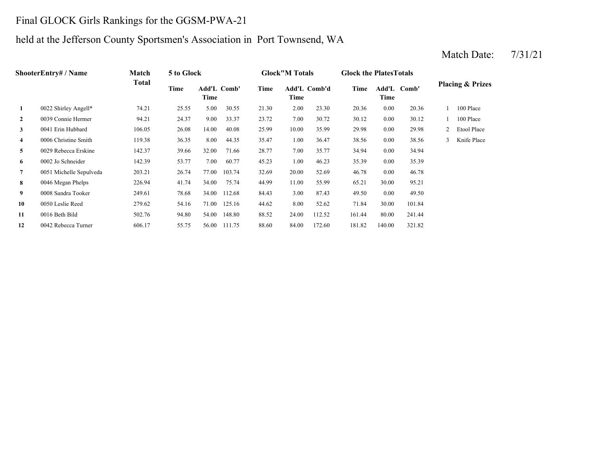### Final GLOCK Girls Rankings for the GGSM-PWA-21

### held at the Jefferson County Sportsmen's Association in Port Townsend, WA

### **2** 7.00 30.12 0039 Connie Hermer 94.21 24.37 9.00 33.37 23.72 **3** 10.00 29.98 0041 Erin Hubbard 106.05 26.08 14.00 40.08 **4**4 0006 Christine Smith 119.38 36.35 8.00 44.35 35.47 1.00 36.47 38.56 **5** 7.00 34.94 0029 Rebecca Erskine 142.37 39.66 32.00 71.66 **6** 1.00 35.39 0002 Jo Schneider 142.39 53.77 7.00 60.77 45.23 **7** 20.00 46.78 0051 Michelle Sepulveda 203.21 26.74 77.00 103.74 32.69 52.69 **8** 11.00 65.21 0046 Megan Phelps 226.94 41.74 34.00 75.74 44.99 55.99 30.00 **9** 3.00 49.50 0008 Sandra Tooker 249.61 78.68 34.00 112.68 84.43 87.43 0.00 49.50 **10**0 0050 Leslie Reed 279.62 54.16 71.00 125.16 44.62 8.00 52.62 71.84 **11** 24.00 161.44 0016 Beth Bild 502.76 94.80 54.00 148.80 88.52 112.52 **12**2 0042 Rebecca Turner 606.17 55.75 56.00 111.75 88.60 84.00 172.60 181.82 140.00 321.82 80.00 241.44 52.62 30.00 101.84 95.21 0.00 46.78 46.23 0.00 35.39 28.77 35.77 0.00 34.94 36.47 0.00 38.56 3 Knife Place 25.99 10.00 35.99 29.98 0.00 29.98 2 Etool Place 30.72 30.12 0.00 30.12 1 100 Place 23.30 20.36 0.00 20.36 1 100 Place **Add'L Comb' Placing & Prizes TimeTime 1**0022 Shirley Angell\* 74.21 25.55 5.00 30.55 21.30 2.00 **Add'LTime Comb' Time Add'L Comb'd Time Time ShooterEntry# / Name Match Total 5 to Glock Glock"M Totals Glock the PlatesTotals**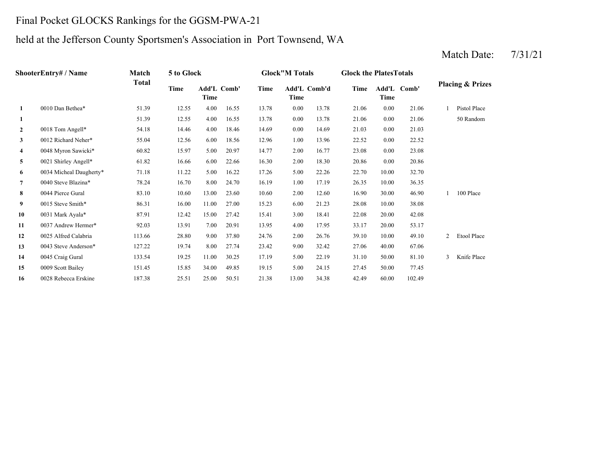### Final Pocket GLOCKS Rankings for the GGSM-PWA-21

### held at the Jefferson County Sportsmen's Association in Port Townsend, WA

### **1**1 51.39 12.55 4.00 16.55 13.78 0.00 13.78 21.06 **2** 0.00 21.03 0018 Tom Angell\* 54.18 14.46 4.00 18.46 14.69 14.69 0.00 21.03 **33** 0012 Richard Neher\* 55.04 12.56 6.00 18.56 12.96 1.00 13.96 22.52 **4**4 0048 Myron Sawicki\* 60.82 15.97 5.00 20.97 14.77 2.00 16.77 23.08 **5** 2.00 20.86 0021 Shirley Angell\* 61.82 16.66 6.00 22.66 16.30 18.30 0.00 **6** 5.00 22.70 0034 Micheal Daugherty\* 71.18 11.22 5.00 16.22 17.26 22.26 10.00 32.70 **7** 1.00 26.35 0040 Steve Blazina\* 78.24 16.70 8.00 24.70 16.19 **88** 0044 Pierce Gural 83.10 10.60 13.00 23.60 10.60 2.00 12.60 16.90 **99** 0015 Steve Smith\* 86.31 16.00 11.00 27.00 15.23 6.00 21.23 28.08 **10**0 0031 Mark Ayala\* 87.91 12.42 15.00 27.42 15.41 3.00 18.41 22.08 **11** 4.00 33.17 0037 Andrew Hermer\* 92.03 13.91 7.00 20.91 13.95 17.95 20.00 **12** 2.00 39.10 0025 Alfred Calabria 113.66 28.80 9.00 37.80 24.76 26.76 10.00 49.10 **13**3 0043 Steve Anderson\* 127.22 19.74 8.00 27.74 23.42 9.00 32.42 27.06 40.00 **14**0045 Craig Gural 133.54 19.25 11.00 30.25 17.19 5.00 22.19 31.10 **15** 5.00 27.45 0009 Scott Bailey 151.45 15.85 34.00 49.85 19.15 24.15 50.00 **16** 13.00 42.49 0028 Rebecca Erskine 187.38 25.51 25.00 50.51 21.38 34.38 60.00 102.49 77.45 3 Knife Place 67.060045 Craig Gural 133.54 19.25 11.00 30.25 17.19 22.19 50.00 81.10 2 Etool Place 53.17 20.00 42.08 21.23 28.08 10.00 38.08 30.00 46.90 1 100 Place 17.19 26.35 10.00 36.35 20.860.00 23.08 13.96 22.52 0.00 22.52 50 Random 1 Pistol Place 51.39 12.55 4.00 16.55 13.78 13.78 0.00 21.06 **1** 0010 Dan Bethea\* 51.39 12.55 4.00 16.55 13.78 0.00 13.78 21.06 0.00 21.06 **Placing & Prizes Time Add'L Comb'd Time Add'L Comb' Time Comb' Time Add'L Time Time ShooterEntry# / Name Match Total 5 to Glock Glock"M Totals Glock the PlatesTotals**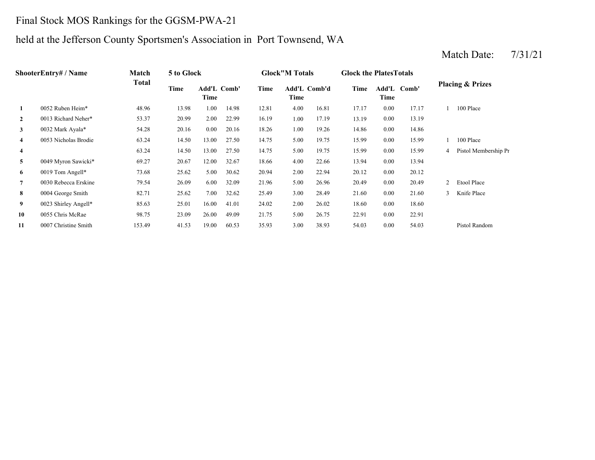# Final Stock MOS Rankings for the GGSM-PWA-21

## held at the Jefferson County Sportsmen's Association in Port Townsend, WA

| ShooterEntry# / Name    | <b>Match</b>         | 5 to Glock |       |                     |       | <b>Glock</b> "M Totals |      | <b>Glock the Plates Totals</b> |       |          |             |               |                             |
|-------------------------|----------------------|------------|-------|---------------------|-------|------------------------|------|--------------------------------|-------|----------|-------------|---------------|-----------------------------|
|                         |                      | Total      | Time  | Add'L Comb'<br>Time |       | Time                   | Time | Add'L Comb'd                   | Time  | Time     | Add'L Comb' |               | <b>Placing &amp; Prizes</b> |
| 1                       | 0052 Ruben Heim*     | 48.96      | 13.98 | 1.00                | 14.98 | 12.81                  | 4.00 | 16.81                          | 17.17 | 0.00     | 17.17       |               | 100 Place                   |
| $\mathbf{2}$            | 0013 Richard Neher*  | 53.37      | 20.99 | 2.00                | 22.99 | 16.19                  | 1.00 | 17.19                          | 13.19 | 0.00     | 13.19       |               |                             |
| 3                       | 0032 Mark Ayala*     | 54.28      | 20.16 | $0.00\,$            | 20.16 | 18.26                  | 1.00 | 19.26                          | 14.86 | 0.00     | 14.86       |               |                             |
| 4                       | 0053 Nicholas Brodie | 63.24      | 14.50 | 13.00               | 27.50 | 14.75                  | 5.00 | 19.75                          | 15.99 | 0.00     | 15.99       |               | 100 Place                   |
| $\overline{\mathbf{4}}$ |                      | 63.24      | 14.50 | 13.00               | 27.50 | 14.75                  | 5.00 | 19.75                          | 15.99 | 0.00     | 15.99       | 4             | Pistol Membership Pr        |
| 5                       | 0049 Myron Sawicki*  | 69.27      | 20.67 | 12.00               | 32.67 | 18.66                  | 4.00 | 22.66                          | 13.94 | 0.00     | 13.94       |               |                             |
| 6                       | 0019 Tom Angell*     | 73.68      | 25.62 | 5.00                | 30.62 | 20.94                  | 2.00 | 22.94                          | 20.12 | 0.00     | 20.12       |               |                             |
| $\overline{7}$          | 0030 Rebecca Erskine | 79.54      | 26.09 | 6.00                | 32.09 | 21.96                  | 5.00 | 26.96                          | 20.49 | 0.00     | 20.49       |               | Etool Place                 |
| 8                       | 0004 George Smith    | 82.71      | 25.62 | 7.00                | 32.62 | 25.49                  | 3.00 | 28.49                          | 21.60 | $0.00\,$ | 21.60       | $\mathcal{E}$ | Knife Place                 |
| 9                       | 0023 Shirley Angell* | 85.63      | 25.01 | 16.00               | 41.01 | 24.02                  | 2.00 | 26.02                          | 18.60 | 0.00     | 18.60       |               |                             |
| 10                      | 0055 Chris McRae     | 98.75      | 23.09 | 26.00               | 49.09 | 21.75                  | 5.00 | 26.75                          | 22.91 | 0.00     | 22.91       |               |                             |
| 11                      | 0007 Christine Smith | 153.49     | 41.53 | 19.00               | 60.53 | 35.93                  | 3.00 | 38.93                          | 54.03 | 0.00     | 54.03       |               | Pistol Random               |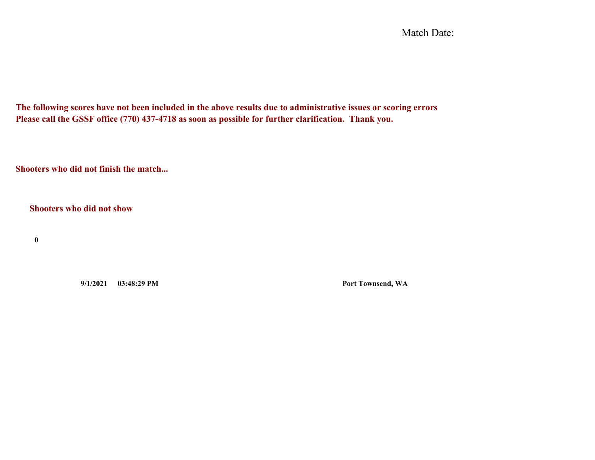Match Date:

**The following scores have not been included in the above results due to administrative issues or scoring errors Please call the GSSF office (770) 437-4718 as soon as possible for further clarification. Thank you.**

**Shooters who did not finish the match...**

**Shooters who did not show**

**0**

**9/1/2021 03:48:29 PM Port Townsend, WA**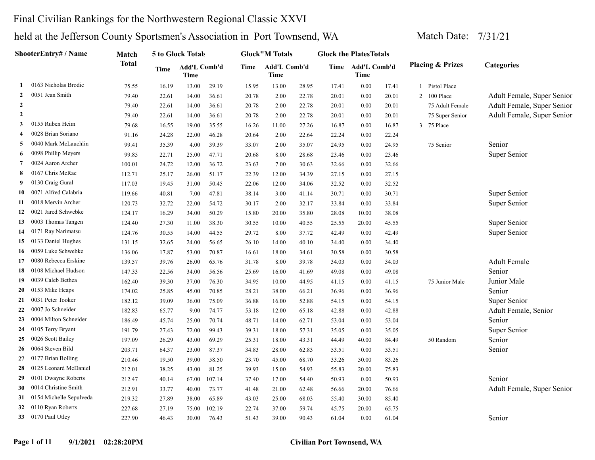### Final Civilian Rankings for the Northwestern Regional Classic XXVI

|                  | <b>ShooterEntry# / Name</b> | Match        |       | 5 to Glock Totals    |        |       | <b>Glock</b> "M Totals |       | <b>Glock the PlatesTotals</b> |                           |       |                             |                            |
|------------------|-----------------------------|--------------|-------|----------------------|--------|-------|------------------------|-------|-------------------------------|---------------------------|-------|-----------------------------|----------------------------|
|                  |                             | <b>Total</b> | Time  | Add'L Comb'd<br>Time |        | Time  | Add'L Comb'd<br>Time   |       |                               | Time Add'L Comb'd<br>Time |       | <b>Placing &amp; Prizes</b> | Categories                 |
| -1               | 0163 Nicholas Brodie        | 75.55        | 16.19 | 13.00                | 29.19  | 15.95 | 13.00                  | 28.95 | 17.41                         | 0.00                      | 17.41 | 1 Pistol Place              |                            |
| $\overline{2}$   | 0051 Jean Smith             | 79.40        | 22.61 | 14.00                | 36.61  | 20.78 | 2.00                   | 22.78 | 20.01                         | 0.00                      | 20.01 | 2 100 Place                 | Adult Female, Super Senior |
| $\boldsymbol{2}$ |                             | 79.40        | 22.61 | 14.00                | 36.61  | 20.78 | 2.00                   | 22.78 | 20.01                         | 0.00                      | 20.01 | 75 Adult Female             | Adult Female, Super Senior |
| $\overline{2}$   |                             | 79.40        | 22.61 | 14.00                | 36.61  | 20.78 | 2.00                   | 22.78 | 20.01                         | 0.00                      | 20.01 | 75 Super Senior             | Adult Female, Super Senior |
| 3                | 0155 Ruben Heim             | 79.68        | 16.55 | 19.00                | 35.55  | 16.26 | 11.00                  | 27.26 | 16.87                         | 0.00                      | 16.87 | 3 75 Place                  |                            |
| 4                | 0028 Brian Soriano          | 91.16        | 24.28 | 22.00                | 46.28  | 20.64 | 2.00                   | 22.64 | 22.24                         | 0.00                      | 22.24 |                             |                            |
| 5                | 0040 Mark McLauchlin        | 99.41        | 35.39 | 4.00                 | 39.39  | 33.07 | 2.00                   | 35.07 | 24.95                         | 0.00                      | 24.95 | 75 Senior                   | Senior                     |
| 6                | 0098 Phillip Meyers         | 99.85        | 22.71 | 25.00                | 47.71  | 20.68 | 8.00                   | 28.68 | 23.46                         | 0.00                      | 23.46 |                             | Super Senior               |
| 7                | 0024 Aaron Archer           | 100.01       | 24.72 | 12.00                | 36.72  | 23.63 | 7.00                   | 30.63 | 32.66                         | 0.00                      | 32.66 |                             |                            |
| 8                | 0167 Chris McRae            | 112.71       | 25.17 | 26.00                | 51.17  | 22.39 | 12.00                  | 34.39 | 27.15                         | 0.00                      | 27.15 |                             |                            |
| 9                | 0130 Craig Gural            | 117.03       | 19.45 | 31.00                | 50.45  | 22.06 | 12.00                  | 34.06 | 32.52                         | 0.00                      | 32.52 |                             |                            |
| 10               | 0071 Alfred Calabria        | 119.66       | 40.81 | 7.00                 | 47.81  | 38.14 | 3.00                   | 41.14 | 30.71                         | 0.00                      | 30.71 |                             | Super Senior               |
| 11               | 0018 Mervin Archer          | 120.73       | 32.72 | 22.00                | 54.72  | 30.17 | 2.00                   | 32.17 | 33.84                         | 0.00                      | 33.84 |                             | Super Senior               |
| 12               | 0021 Jared Schwebke         | 124.17       | 16.29 | 34.00                | 50.29  | 15.80 | 20.00                  | 35.80 | 28.08                         | 10.00                     | 38.08 |                             |                            |
| 13               | 0003 Thomas Tangen          | 124.40       | 27.30 | 11.00                | 38.30  | 30.55 | 10.00                  | 40.55 | 25.55                         | 20.00                     | 45.55 |                             | Super Senior               |
| 14               | 0171 Ray Narimatsu          | 124.76       | 30.55 | 14.00                | 44.55  | 29.72 | 8.00                   | 37.72 | 42.49                         | 0.00                      | 42.49 |                             | Super Senior               |
| 15               | 0133 Daniel Hughes          | 131.15       | 32.65 | 24.00                | 56.65  | 26.10 | 14.00                  | 40.10 | 34.40                         | 0.00                      | 34.40 |                             |                            |
| 16               | 0059 Luke Schwebke          | 136.06       | 17.87 | 53.00                | 70.87  | 16.61 | 18.00                  | 34.61 | 30.58                         | 0.00                      | 30.58 |                             |                            |
| 17               | 0080 Rebecca Erskine        | 139.57       | 39.76 | 26.00                | 65.76  | 31.78 | 8.00                   | 39.78 | 34.03                         | 0.00                      | 34.03 |                             | <b>Adult Female</b>        |
| 18               | 0108 Michael Hudson         | 147.33       | 22.56 | 34.00                | 56.56  | 25.69 | 16.00                  | 41.69 | 49.08                         | 0.00                      | 49.08 |                             | Senior                     |
| 19               | 0039 Caleb Bethea           | 162.40       | 39.30 | 37.00                | 76.30  | 34.95 | 10.00                  | 44.95 | 41.15                         | 0.00                      | 41.15 | 75 Junior Male              | Junior Male                |
| 20               | 0153 Mike Heaps             | 174.02       | 25.85 | 45.00                | 70.85  | 28.21 | 38.00                  | 66.21 | 36.96                         | 0.00                      | 36.96 |                             | Senior                     |
| 21               | 0031 Peter Tooker           | 182.12       | 39.09 | 36.00                | 75.09  | 36.88 | 16.00                  | 52.88 | 54.15                         | 0.00                      | 54.15 |                             | Super Senior               |
| 22               | 0007 Jo Schneider           | 182.83       | 65.77 | 9.00                 | 74.77  | 53.18 | 12.00                  | 65.18 | 42.88                         | 0.00                      | 42.88 |                             | Adult Female, Senior       |
| 23               | 0004 Milton Schneider       | 186.49       | 45.74 | 25.00                | 70.74  | 48.71 | 14.00                  | 62.71 | 53.04                         | 0.00                      | 53.04 |                             | Senior                     |
| 24               | 0105 Terry Bryant           | 191.79       | 27.43 | 72.00                | 99.43  | 39.31 | 18.00                  | 57.31 | 35.05                         | 0.00                      | 35.05 |                             | Super Senior               |
| 25               | 0026 Scott Bailey           | 197.09       | 26.29 | 43.00                | 69.29  | 25.31 | 18.00                  | 43.31 | 44.49                         | 40.00                     | 84.49 | 50 Random                   | Senior                     |
| 26               | 0064 Steven Bild            | 203.71       | 64.37 | 23.00                | 87.37  | 34.83 | 28.00                  | 62.83 | 53.51                         | 0.00                      | 53.51 |                             | Senior                     |
| 27               | 0177 Brian Bolling          | 210.46       | 19.50 | 39.00                | 58.50  | 23.70 | 45.00                  | 68.70 | 33.26                         | 50.00                     | 83.26 |                             |                            |
| 28               | 0125 Leonard McDaniel       | 212.01       | 38.25 | 43.00                | 81.25  | 39.93 | 15.00                  | 54.93 | 55.83                         | 20.00                     | 75.83 |                             |                            |
| 29               | 0101 Dwayne Roberts         | 212.47       | 40.14 | 67.00                | 107.14 | 37.40 | 17.00                  | 54.40 | 50.93                         | 0.00                      | 50.93 |                             | Senior                     |
| 30               | 0014 Christine Smith        | 212.91       | 33.77 | 40.00                | 73.77  | 41.48 | 21.00                  | 62.48 | 56.66                         | 20.00                     | 76.66 |                             | Adult Female, Super Senior |
| 31               | 0154 Michelle Sepulveda     | 219.32       | 27.89 | 38.00                | 65.89  | 43.03 | 25.00                  | 68.03 | 55.40                         | 30.00                     | 85.40 |                             |                            |
| 32               | 0110 Ryan Roberts           | 227.68       | 27.19 | 75.00                | 102.19 | 22.74 | 37.00                  | 59.74 | 45.75                         | 20.00                     | 65.75 |                             |                            |
| 33               | 0170 Paul Utley             | 227.90       | 46.43 | 30.00                | 76.43  | 51.43 | 39.00                  | 90.43 | 61.04                         | 0.00                      | 61.04 |                             | Senior                     |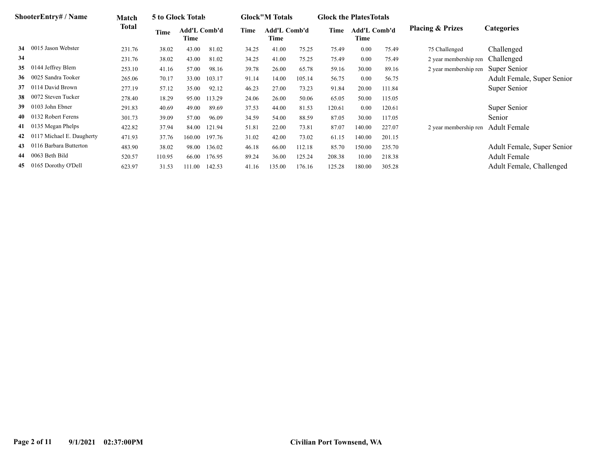|    | <b>ShooterEntry#/Name</b>    | Match  |        | 5 to Glock Totals           |        |       | <b>Glock</b> "M Totals |        | <b>Glock the Plates Totals</b> |                             |        |                                    |                            |
|----|------------------------------|--------|--------|-----------------------------|--------|-------|------------------------|--------|--------------------------------|-----------------------------|--------|------------------------------------|----------------------------|
|    |                              | Total  | Time   | <b>Add'L Comb'd</b><br>Time |        | Time  | Add'L Comb'd<br>Time   |        | Time                           | <b>Add'L Comb'd</b><br>Time |        | <b>Placing &amp; Prizes</b>        | Categories                 |
| 34 | 0015 Jason Webster           | 231.76 | 38.02  | 43.00                       | 81.02  | 34.25 | 41.00                  | 75.25  | 75.49                          | $0.00\,$                    | 75.49  | 75 Challenged                      | Challenged                 |
| 34 |                              | 231.76 | 38.02  | 43.00                       | 81.02  | 34.25 | 41.00                  | 75.25  | 75.49                          | 0.00                        | 75.49  | 2 year membership ren              | Challenged                 |
| 35 | 0144 Jeffrey Blem            | 253.10 | 41.16  | 57.00                       | 98.16  | 39.78 | 26.00                  | 65.78  | 59.16                          | 30.00                       | 89.16  | 2 year membership ren              | Super Senior               |
|    | 36 0025 Sandra Tooker        | 265.06 | 70.17  | 33.00                       | 103.17 | 91.14 | 14.00                  | 105.14 | 56.75                          | $0.00\,$                    | 56.75  |                                    | Adult Female, Super Senior |
|    | 37 0114 David Brown          | 277.19 | 57.12  | 35.00                       | 92.12  | 46.23 | 27.00                  | 73.23  | 91.84                          | 20.00                       | 111.84 |                                    | Super Senior               |
| 38 | 0072 Steven Tucker           | 278.40 | 18.29  | 95.00                       | 113.29 | 24.06 | 26.00                  | 50.06  | 65.05                          | 50.00                       | 115.05 |                                    |                            |
| 39 | 0103 John Ebner              | 291.83 | 40.69  | 49.00                       | 89.69  | 37.53 | 44.00                  | 81.53  | 120.61                         | 0.00                        | 120.61 |                                    | Super Senior               |
| 40 | 0132 Robert Ferens           | 301.73 | 39.09  | 57.00                       | 96.09  | 34.59 | 54.00                  | 88.59  | 87.05                          | 30.00                       | 117.05 |                                    | Senior                     |
|    | 41 0135 Megan Phelps         | 422.82 | 37.94  | 84.00                       | 121.94 | 51.81 | 22.00                  | 73.81  | 87.07                          | 140.00                      | 227.07 | 2 year membership ren Adult Female |                            |
|    | 42 0117 Michael E. Daugherty | 471.93 | 37.76  | 160.00                      | 197.76 | 31.02 | 42.00                  | 73.02  | 61.15                          | 140.00                      | 201.15 |                                    |                            |
|    | 0116 Barbara Butterton       | 483.90 | 38.02  | 98.00                       | 136.02 | 46.18 | 66.00                  | 112.18 | 85.70                          | 150.00                      | 235.70 |                                    | Adult Female, Super Senior |
|    | 44 0063 Beth Bild            | 520.57 | 110.95 | 66.00                       | 176.95 | 89.24 | 36.00                  | 125.24 | 208.38                         | 10.00                       | 218.38 |                                    | <b>Adult Female</b>        |
| 45 | 0165 Dorothy O'Dell          | 623.97 | 31.53  | 111.00                      | 142.53 | 41.16 | 135.00                 | 176.16 | 125.28                         | 180.00                      | 305.28 |                                    | Adult Female, Challenged   |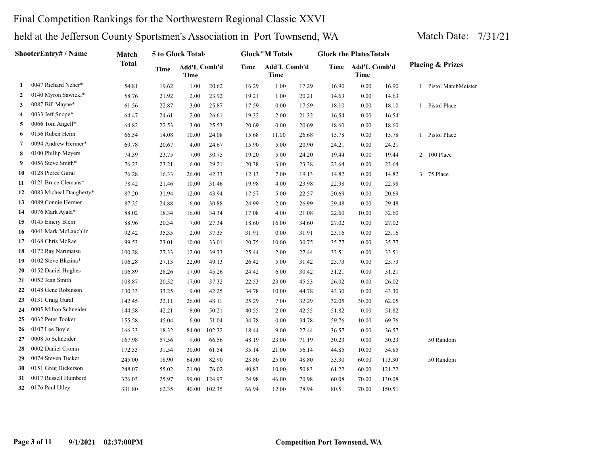### Final Competition Rankings for the Northwestern Regional Classic XXVI

| ShooterEntry# / Name | Match                   |              | 5 to Glock Totals |                             |        | <b>Glock</b> "M Totals |                      | <b>Glock the PlatesTotals</b> |       |                             |        |                |                             |
|----------------------|-------------------------|--------------|-------------------|-----------------------------|--------|------------------------|----------------------|-------------------------------|-------|-----------------------------|--------|----------------|-----------------------------|
|                      |                         | <b>Total</b> | <b>Time</b>       | Add'L Comb'd<br><b>Time</b> |        | Time                   | Add'L Comb'd<br>Time |                               | Time  | Add'L Comb'd<br><b>Time</b> |        |                | <b>Placing &amp; Prizes</b> |
| 1                    | 0047 Richard Neher*     | 54.81        | 19.62             | 1.00                        | 20.62  | 16.29                  | 1.00                 | 17.29                         | 16.90 | 0.00                        | 16.90  |                | 1 Pistol MatchMeister       |
| $\mathbf{2}$         | 0140 Myron Sawicki*     | 58.76        | 21.92             | 2.00                        | 23.92  | 19.21                  | 1.00                 | 20.21                         | 14.63 | 0.00                        | 14.63  |                |                             |
| 3                    | 0087 Bill Mayne*        | 61.56        | 22.87             | 3.00                        | 25.87  | 17.59                  | 0.00                 | 17.59                         | 18.10 | 0.00                        | 18.10  | 1              | Pistol Place                |
| 4                    | 0033 Jeff Snope*        | 64.47        | 24.61             | 2.00                        | 26.61  | 19.32                  | 2.00                 | 21.32                         | 16.54 | 0.00                        | 16.54  |                |                             |
| 5                    | 0066 Tom Angell*        | 64.82        | 22.53             | 3.00                        | 25.53  | 20.69                  | 0.00                 | 20.69                         | 18.60 | 0.00                        | 18.60  |                |                             |
| 6                    | 0156 Ruben Heim         | 66.54        | 14.08             | 10.00                       | 24.08  | 15.68                  | 11.00                | 26.68                         | 15.78 | 0.00                        | 15.78  | 1              | Pistol Place                |
| 7                    | 0094 Andrew Hermer*     | 69.78        | 20.67             | 4.00                        | 24.67  | 15.90                  | 5.00                 | 20.90                         | 24.21 | 0.00                        | 24.21  |                |                             |
| 8                    | 0100 Phillip Meyers     | 74.39        | 23.75             | 7.00                        | 30.75  | 19.20                  | 5.00                 | 24.20                         | 19.44 | 0.00                        | 19.44  | $\overline{2}$ | 100 Place                   |
| 9                    | 0056 Steve Smith*       | 76.23        | 23.21             | 6.00                        | 29.21  | 20.38                  | 3.00                 | 23.38                         | 23.64 | 0.00                        | 23.64  |                |                             |
| 10                   | 0128 Pierce Gural       | 76.28        | 16.33             | 26.00                       | 42.33  | 12.13                  | 7.00                 | 19.13                         | 14.82 | 0.00                        | 14.82  |                | 3 75 Place                  |
| 11                   | 0121 Bruce Clemans*     | 78.42        | 21.46             | 10.00                       | 31.46  | 19.98                  | 4.00                 | 23.98                         | 22.98 | 0.00                        | 22.98  |                |                             |
| 12                   | 0083 Micheal Daugherty* | 87.20        | 31.94             | 12.00                       | 43.94  | 17.57                  | 5.00                 | 22.57                         | 20.69 | 0.00                        | 20.69  |                |                             |
| 13                   | 0089 Connie Hermer      | 87.35        | 24.88             | 6.00                        | 30.88  | 24.99                  | 2.00                 | 26.99                         | 29.48 | 0.00                        | 29.48  |                |                             |
| 14                   | 0076 Mark Ayala*        | 88.02        | 18.34             | 16.00                       | 34.34  | 17.08                  | 4.00                 | 21.08                         | 22.60 | 10.00                       | 32.60  |                |                             |
| 15                   | 0145 Emery Blem         | 88.96        | 20.34             | 7.00                        | 27.34  | 18.60                  | 16.00                | 34.60                         | 27.02 | 0.00                        | 27.02  |                |                             |
| 16                   | 0041 Mark McLauchlin    | 92.42        | 35.35             | 2.00                        | 37.35  | 31.91                  | 0.00                 | 31.91                         | 23.16 | 0.00                        | 23.16  |                |                             |
| 17                   | 0168 Chris McRae        | 99.53        | 23.01             | 10.00                       | 33.01  | 20.75                  | 10.00                | 30.75                         | 35.77 | $0.00\,$                    | 35.77  |                |                             |
| 18                   | 0172 Ray Narimatsu      | 100.28       | 27.33             | 12.00                       | 39.33  | 25.44                  | 2.00                 | 27.44                         | 33.51 | 0.00                        | 33.51  |                |                             |
| 19                   | 0102 Steve Blazina*     | 106.28       | 27.13             | 22.00                       | 49.13  | 26.42                  | 5.00                 | 31.42                         | 25.73 | 0.00                        | 25.73  |                |                             |
| 20                   | 0152 Daniel Hughes      | 106.89       | 28.26             | 17.00                       | 45.26  | 24.42                  | 6.00                 | 30.42                         | 31.21 | 0.00                        | 31.21  |                |                             |
| 21                   | 0052 Jean Smith         | 108.87       | 20.32             | 17.00                       | 37.32  | 22.53                  | 23.00                | 45.53                         | 26.02 | 0.00                        | 26.02  |                |                             |
| 22                   | 0148 Gene Robinson      | 130.33       | 33.25             | 9.00                        | 42.25  | 34.78                  | 10.00                | 44.78                         | 43.30 | 0.00                        | 43.30  |                |                             |
| 23                   | 0131 Craig Gural        | 142.45       | 22.11             | 26.00                       | 48.11  | 25.29                  | 7.00                 | 32.29                         | 32.05 | 30.00                       | 62.05  |                |                             |
| 24                   | 0005 Milton Schneider   | 144.58       | 42.21             | 8.00                        | 50.21  | 40.55                  | 2.00                 | 42.55                         | 51.82 | 0.00                        | 51.82  |                |                             |
| 25                   | 0032 Peter Tooker       | 155.58       | 45.04             | 6.00                        | 51.04  | 34.78                  | 0.00                 | 34.78                         | 59.76 | 10.00                       | 69.76  |                |                             |
| 26                   | 0107 Lee Boyle          | 166.33       | 18.32             | 84.00                       | 102.32 | 18.44                  | 9.00                 | 27.44                         | 36.57 | 0.00                        | 36.57  |                |                             |
| 27                   | 0008 Jo Schneider       | 167.98       | 57.56             | 9.00                        | 66.56  | 48.19                  | 23.00                | 71.19                         | 30.23 | 0.00                        | 30.23  |                | 50 Random                   |
| 28                   | 0002 Daniel Cronin      | 172.53       | 31.54             | 30.00                       | 61.54  | 35.14                  | 21.00                | 56.14                         | 44.85 | 10.00                       | 54.85  |                |                             |
| 29                   | 0074 Steven Tucker      | 245.00       | 18.90             | 64.00                       | 82.90  | 23.80                  | 25.00                | 48.80                         | 53.30 | 60.00                       | 113.30 |                | 50 Random                   |
| 30                   | 0151 Greg Dickerson     | 248.07       | 55.02             | 21.00                       | 76.02  | 40.83                  | 10.00                | 50.83                         | 61.22 | 60.00                       | 121.22 |                |                             |
| 31                   | 0017 Russell Humberd    | 326.03       | 25.97             | 99.00                       | 124.97 | 24.98                  | 46.00                | 70.98                         | 60.08 | 70.00                       | 130.08 |                |                             |
| 32                   | 0176 Paul Utley         | 331.80       | 62.35             | 40.00                       | 102.35 | 66.94                  | 12.00                | 78.94                         | 80.51 | 70.00                       | 150.51 |                |                             |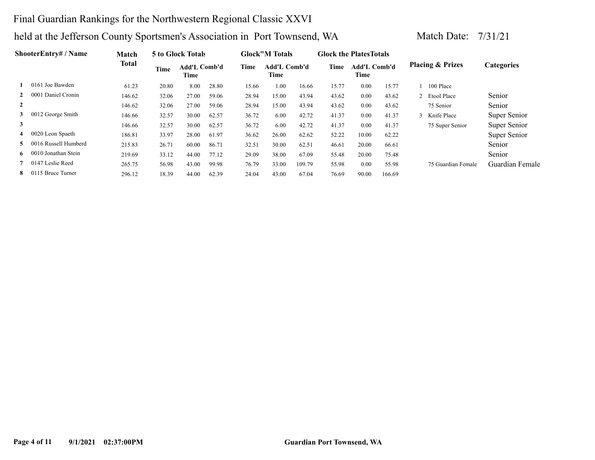### Final Guardian Rankings for the Northwestern Regional Classic XXVI

| <b>ShooterEntrv# / Name</b> | Match                |        | 5 to Glock Totals |                      |       | <b>Glock</b> "M Totals |                      | <b>Glock the Plates Totals</b> |       |                             |        |                             |                   |
|-----------------------------|----------------------|--------|-------------------|----------------------|-------|------------------------|----------------------|--------------------------------|-------|-----------------------------|--------|-----------------------------|-------------------|
|                             |                      | Total  | Time              | Add'L Comb'd<br>Time |       | Time                   | Add'L Comb'd<br>Time |                                | Time  | <b>Add'L Comb'd</b><br>Time |        | <b>Placing &amp; Prizes</b> | <b>Categories</b> |
|                             | 0161 Joe Bawden      | 61.23  | 20.80             | 8.00                 | 28.80 | 15.66                  | 1.00                 | 16.66                          | 15.77 | 0.00                        | 15.77  | 100 Place                   |                   |
| $\mathbf{2}$                | 0001 Daniel Cronin   | 146.62 | 32.06             | 27.00                | 59.06 | 28.94                  | 15.00                | 43.94                          | 43.62 | 0.00                        | 43.62  | 2 Etool Place               | Senior            |
| $\overline{2}$              |                      | 146.62 | 32.06             | 27.00                | 59.06 | 28.94                  | 15.00                | 43.94                          | 43.62 | 0.00                        | 43.62  | 75 Senior                   | Senior            |
| 3                           | 0012 George Smith    | 146.66 | 32.57             | 30.00                | 62.57 | 36.72                  | 6.00                 | 42.72                          | 41.37 | 0.00                        | 41.37  | Knife Place                 | Super Senior      |
| 3                           |                      | 146.66 | 32.57             | 30.00                | 62.57 | 36.72                  | 6.00                 | 42.72                          | 41.37 | 0.00                        | 41.37  | 75 Super Senior             | Super Senior      |
| 4                           | 0020 Leon Spaeth     | 186.81 | 33.97             | 28.00                | 61.97 | 36.62                  | 26.00                | 62.62                          | 52.22 | 10.00                       | 62.22  |                             | Super Senior      |
| 5.                          | 0016 Russell Humberd | 215.83 | 26.71             | 60.00                | 86.71 | 32.51                  | 30.00                | 62.51                          | 46.61 | 20.00                       | 66.61  |                             | Senior            |
| 6.                          | 0010 Jonathan Stein  | 219.69 | 33.12             | 44.00                | 77.12 | 29.09                  | 38.00                | 67.09                          | 55.48 | 20.00                       | 75.48  |                             | Senior            |
|                             | 7 0147 Leslie Reed   | 265.75 | 56.98             | 43.00                | 99.98 | 76.79                  | 33.00                | 109.79                         | 55.98 | 0.00                        | 55.98  | 75 Guardian Female          | Guardian Female   |
| 8.                          | 0115 Bruce Turner    | 296.12 | 18.39             | 44.00                | 62.39 | 24.04                  | 43.00                | 67.04                          | 76.69 | 90.00                       | 166.69 |                             |                   |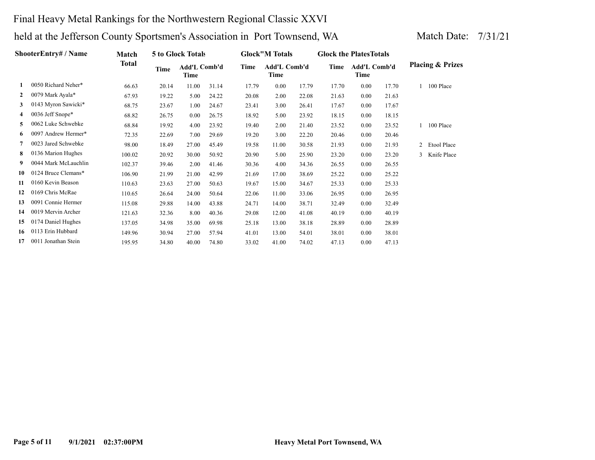### Final Heavy Metal Rankings for the Northwestern Regional Classic XXVI

| <b>ShooterEntry#/Name</b> | Match                |              | <b>5 to Glock Totals</b> |                             |       | <b>Glock</b> "M Totals |                      | <b>Glock the Plates Totals</b> |       |                             |       |                |                             |
|---------------------------|----------------------|--------------|--------------------------|-----------------------------|-------|------------------------|----------------------|--------------------------------|-------|-----------------------------|-------|----------------|-----------------------------|
|                           |                      | <b>Total</b> | Time                     | Add'L Comb'd<br><b>Time</b> |       | Time                   | Add'L Comb'd<br>Time |                                | Time  | <b>Add'L Comb'd</b><br>Time |       |                | <b>Placing &amp; Prizes</b> |
| 1                         | 0050 Richard Neher*  | 66.63        | 20.14                    | 11.00                       | 31.14 | 17.79                  | 0.00                 | 17.79                          | 17.70 | 0.00                        | 17.70 | $\mathbf{1}$   | 100 Place                   |
| $\mathbf{2}$              | 0079 Mark Ayala*     | 67.93        | 19.22                    | 5.00                        | 24.22 | 20.08                  | 2.00                 | 22.08                          | 21.63 | 0.00                        | 21.63 |                |                             |
| 3                         | 0143 Myron Sawicki*  | 68.75        | 23.67                    | 1.00                        | 24.67 | 23.41                  | 3.00                 | 26.41                          | 17.67 | 0.00                        | 17.67 |                |                             |
| 4                         | 0036 Jeff Snope*     | 68.82        | 26.75                    | 0.00                        | 26.75 | 18.92                  | 5.00                 | 23.92                          | 18.15 | 0.00                        | 18.15 |                |                             |
| 5.                        | 0062 Luke Schwebke   | 68.84        | 19.92                    | 4.00                        | 23.92 | 19.40                  | 2.00                 | 21.40                          | 23.52 | 0.00                        | 23.52 |                | 100 Place                   |
| 6                         | 0097 Andrew Hermer*  | 72.35        | 22.69                    | 7.00                        | 29.69 | 19.20                  | 3.00                 | 22.20                          | 20.46 | 0.00                        | 20.46 |                |                             |
|                           | 0023 Jared Schwebke  | 98.00        | 18.49                    | 27.00                       | 45.49 | 19.58                  | 11.00                | 30.58                          | 21.93 | 0.00                        | 21.93 | $\overline{2}$ | Etool Place                 |
| 8                         | 0136 Marion Hughes   | 100.02       | 20.92                    | 30.00                       | 50.92 | 20.90                  | 5.00                 | 25.90                          | 23.20 | 0.00                        | 23.20 | 3              | Knife Place                 |
| 9.                        | 0044 Mark McLauchlin | 102.37       | 39.46                    | 2.00                        | 41.46 | 30.36                  | 4.00                 | 34.36                          | 26.55 | 0.00                        | 26.55 |                |                             |
| 10                        | 0124 Bruce Clemans*  | 106.90       | 21.99                    | 21.00                       | 42.99 | 21.69                  | 17.00                | 38.69                          | 25.22 | 0.00                        | 25.22 |                |                             |
| 11                        | 0160 Kevin Beason    | 110.63       | 23.63                    | 27.00                       | 50.63 | 19.67                  | 15.00                | 34.67                          | 25.33 | 0.00                        | 25.33 |                |                             |
| 12                        | 0169 Chris McRae     | 110.65       | 26.64                    | 24.00                       | 50.64 | 22.06                  | 11.00                | 33.06                          | 26.95 | 0.00                        | 26.95 |                |                             |
| 13                        | 0091 Connie Hermer   | 115.08       | 29.88                    | 14.00                       | 43.88 | 24.71                  | 14.00                | 38.71                          | 32.49 | 0.00                        | 32.49 |                |                             |
| 14                        | 0019 Mervin Archer   | 121.63       | 32.36                    | 8.00                        | 40.36 | 29.08                  | 12.00                | 41.08                          | 40.19 | 0.00                        | 40.19 |                |                             |
| 15                        | 0174 Daniel Hughes   | 137.05       | 34.98                    | 35.00                       | 69.98 | 25.18                  | 13.00                | 38.18                          | 28.89 | 0.00                        | 28.89 |                |                             |
| 16                        | 0113 Erin Hubbard    | 149.96       | 30.94                    | 27.00                       | 57.94 | 41.01                  | 13.00                | 54.01                          | 38.01 | 0.00                        | 38.01 |                |                             |
| 17                        | 0011 Jonathan Stein  | 195.95       | 34.80                    | 40.00                       | 74.80 | 33.02                  | 41.00                | 74.02                          | 47.13 | 0.00                        | 47.13 |                |                             |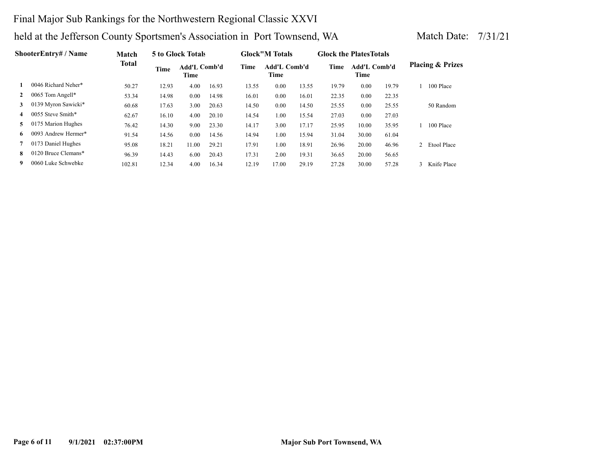### Final Major Sub Rankings for the Northwestern Regional Classic XXVI

| <b>ShooterEntry#/Name</b> | Match               |              | 5 to Glock Totals |                      |       | <b>Glock</b> "M Totals |                      | <b>Glock the Plates Totals</b> |       |                      |       |               |                             |
|---------------------------|---------------------|--------------|-------------------|----------------------|-------|------------------------|----------------------|--------------------------------|-------|----------------------|-------|---------------|-----------------------------|
|                           |                     | <b>Total</b> | <b>Time</b>       | Add'L Comb'd<br>Time |       | Time                   | Add'L Comb'd<br>Time |                                | Time  | Add'L Comb'd<br>Time |       |               | <b>Placing &amp; Prizes</b> |
|                           | 0046 Richard Neher* | 50.27        | 12.93             | 4.00                 | 16.93 | 13.55                  | 0.00                 | 13.55                          | 19.79 | 0.00                 | 19.79 |               | 100 Place                   |
|                           | 0065 Tom Angell*    | 53.34        | 14.98             | 0.00                 | 14.98 | 16.01                  | 0.00                 | 16.01                          | 22.35 | 0.00                 | 22.35 |               |                             |
| 3                         | 0139 Myron Sawicki* | 60.68        | 17.63             | 3.00                 | 20.63 | 14.50                  | 0.00                 | 14.50                          | 25.55 | 0.00                 | 25.55 |               | 50 Random                   |
| 4                         | 0055 Steve Smith*   | 62.67        | 16.10             | 4.00                 | 20.10 | 14.54                  | 1.00                 | 15.54                          | 27.03 | 0.00                 | 27.03 |               |                             |
| 5.                        | 0175 Marion Hughes  | 76.42        | 14.30             | 9.00                 | 23.30 | 14.17                  | 3.00                 | 17.17                          | 25.95 | 10.00                | 35.95 |               | 100 Place                   |
| 6.                        | 0093 Andrew Hermer* | 91.54        | 14.56             | 0.00                 | 14.56 | 14.94                  | 1.00                 | 15.94                          | 31.04 | 30.00                | 61.04 |               |                             |
|                           | 0173 Daniel Hughes  | 95.08        | 18.21             | 11.00                | 29.21 | 17.91                  | 1.00                 | 18.91                          | 26.96 | 20.00                | 46.96 |               | 2 Etool Place               |
| 8                         | 0120 Bruce Clemans* | 96.39        | 14.43             | 6.00                 | 20.43 | 17.31                  | 2.00                 | 19.31                          | 36.65 | 20.00                | 56.65 |               |                             |
| 9                         | 0060 Luke Schwebke  | 102.81       | 12.34             | 4.00                 | 16.34 | 12.19                  | 17.00                | 29.19                          | 27.28 | 30.00                | 57.28 | $\mathcal{R}$ | Knife Place                 |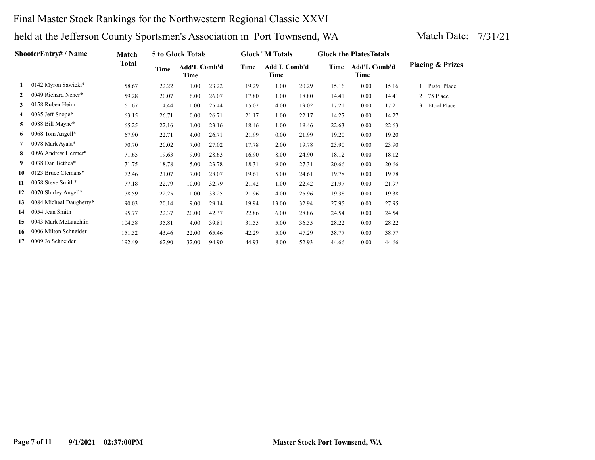### Final Master Stock Rankings for the Northwestern Regional Classic XXVI

|    | <b>ShooterEntry#/Name</b> | Match        |       | <b>5 to Glock Totals</b> |       |       | <b>Glock</b> "M Totals |       | <b>Glock the Plates Totals</b> |                      |       |              |                             |
|----|---------------------------|--------------|-------|--------------------------|-------|-------|------------------------|-------|--------------------------------|----------------------|-------|--------------|-----------------------------|
|    |                           | <b>Total</b> | Time  | Add'L Comb'd<br>Time     |       | Time  | Add'L Comb'd<br>Time   |       | Time                           | Add'L Comb'd<br>Time |       |              | <b>Placing &amp; Prizes</b> |
|    | 0142 Myron Sawicki*       | 58.67        | 22.22 | 1.00                     | 23.22 | 19.29 | 1.00                   | 20.29 | 15.16                          | 0.00                 | 15.16 |              | Pistol Place                |
| 2  | 0049 Richard Neher*       | 59.28        | 20.07 | 6.00                     | 26.07 | 17.80 | 1.00                   | 18.80 | 14.41                          | 0.00                 | 14.41 |              | 2 75 Place                  |
| 3  | 0158 Ruben Heim           | 61.67        | 14.44 | 11.00                    | 25.44 | 15.02 | 4.00                   | 19.02 | 17.21                          | 0.00                 | 17.21 | $\mathbf{3}$ | Etool Place                 |
| 4  | 0035 Jeff Snope*          | 63.15        | 26.71 | 0.00                     | 26.71 | 21.17 | 1.00                   | 22.17 | 14.27                          | 0.00                 | 14.27 |              |                             |
| 5  | 0088 Bill Mayne*          | 65.25        | 22.16 | 1.00                     | 23.16 | 18.46 | 1.00                   | 19.46 | 22.63                          | 0.00                 | 22.63 |              |                             |
| 6  | 0068 Tom Angell*          | 67.90        | 22.71 | 4.00                     | 26.71 | 21.99 | $0.00\,$               | 21.99 | 19.20                          | 0.00                 | 19.20 |              |                             |
|    | 0078 Mark Ayala*          | 70.70        | 20.02 | 7.00                     | 27.02 | 17.78 | 2.00                   | 19.78 | 23.90                          | 0.00                 | 23.90 |              |                             |
| 8  | 0096 Andrew Hermer*       | 71.65        | 19.63 | 9.00                     | 28.63 | 16.90 | 8.00                   | 24.90 | 18.12                          | 0.00                 | 18.12 |              |                             |
| 9  | 0038 Dan Bethea*          | 71.75        | 18.78 | 5.00                     | 23.78 | 18.31 | 9.00                   | 27.31 | 20.66                          | 0.00                 | 20.66 |              |                             |
| 10 | 0123 Bruce Clemans*       | 72.46        | 21.07 | 7.00                     | 28.07 | 19.61 | 5.00                   | 24.61 | 19.78                          | 0.00                 | 19.78 |              |                             |
| 11 | 0058 Steve Smith*         | 77.18        | 22.79 | 10.00                    | 32.79 | 21.42 | 1.00                   | 22.42 | 21.97                          | 0.00                 | 21.97 |              |                             |
| 12 | 0070 Shirley Angell*      | 78.59        | 22.25 | 11.00                    | 33.25 | 21.96 | 4.00                   | 25.96 | 19.38                          | 0.00                 | 19.38 |              |                             |
| 13 | 0084 Micheal Daugherty*   | 90.03        | 20.14 | 9.00                     | 29.14 | 19.94 | 13.00                  | 32.94 | 27.95                          | 0.00                 | 27.95 |              |                             |
| 14 | 0054 Jean Smith           | 95.77        | 22.37 | 20.00                    | 42.37 | 22.86 | 6.00                   | 28.86 | 24.54                          | 0.00                 | 24.54 |              |                             |
| 15 | 0043 Mark McLauchlin      | 104.58       | 35.81 | 4.00                     | 39.81 | 31.55 | 5.00                   | 36.55 | 28.22                          | 0.00                 | 28.22 |              |                             |
| 16 | 0006 Milton Schneider     | 151.52       | 43.46 | 22.00                    | 65.46 | 42.29 | 5.00                   | 47.29 | 38.77                          | 0.00                 | 38.77 |              |                             |
| 17 | 0009 Jo Schneider         | 192.49       | 62.90 | 32.00                    | 94.90 | 44.93 | 8.00                   | 52.93 | 44.66                          | 0.00                 | 44.66 |              |                             |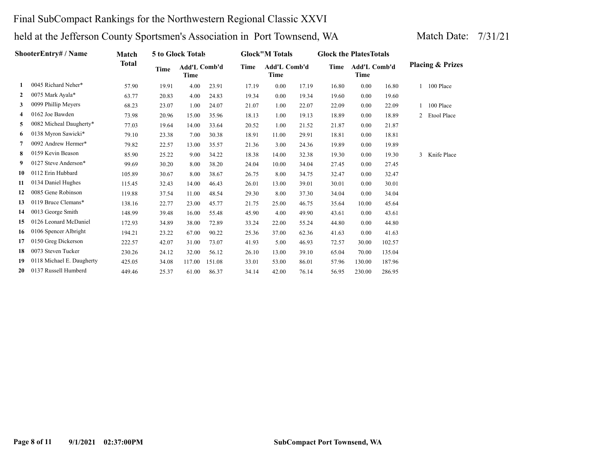### Final SubCompact Rankings for the Northwestern Regional Classic XXVI

| <b>ShooterEntry# / Name</b> | Match                     |              | 5 to Glock Totals |                      |        | <b>Glock</b> "M Totals |                      | <b>Glock the Plates Totals</b> |       |                             |        |              |                             |
|-----------------------------|---------------------------|--------------|-------------------|----------------------|--------|------------------------|----------------------|--------------------------------|-------|-----------------------------|--------|--------------|-----------------------------|
|                             |                           | <b>Total</b> | Time              | Add'L Comb'd<br>Time |        | Time                   | Add'L Comb'd<br>Time |                                | Time  | <b>Add'L Comb'd</b><br>Time |        |              | <b>Placing &amp; Prizes</b> |
| $\mathbf{1}$                | 0045 Richard Neher*       | 57.90        | 19.91             | 4.00                 | 23.91  | 17.19                  | 0.00                 | 17.19                          | 16.80 | 0.00                        | 16.80  | $\mathbf{1}$ | 100 Place                   |
| $\mathbf{2}$                | 0075 Mark Ayala*          | 63.77        | 20.83             | 4.00                 | 24.83  | 19.34                  | 0.00                 | 19.34                          | 19.60 | 0.00                        | 19.60  |              |                             |
| 3                           | 0099 Phillip Meyers       | 68.23        | 23.07             | 1.00                 | 24.07  | 21.07                  | 1.00                 | 22.07                          | 22.09 | 0.00                        | 22.09  |              | 100 Place                   |
| 4                           | 0162 Joe Bawden           | 73.98        | 20.96             | 15.00                | 35.96  | 18.13                  | 1.00                 | 19.13                          | 18.89 | 0.00                        | 18.89  | 2            | Etool Place                 |
| 5                           | 0082 Micheal Daugherty*   | 77.03        | 19.64             | 14.00                | 33.64  | 20.52                  | 1.00                 | 21.52                          | 21.87 | 0.00                        | 21.87  |              |                             |
| 6                           | 0138 Myron Sawicki*       | 79.10        | 23.38             | 7.00                 | 30.38  | 18.91                  | 11.00                | 29.91                          | 18.81 | 0.00                        | 18.81  |              |                             |
| 7                           | 0092 Andrew Hermer*       | 79.82        | 22.57             | 13.00                | 35.57  | 21.36                  | 3.00                 | 24.36                          | 19.89 | 0.00                        | 19.89  |              |                             |
| 8                           | 0159 Kevin Beason         | 85.90        | 25.22             | 9.00                 | 34.22  | 18.38                  | 14.00                | 32.38                          | 19.30 | 0.00                        | 19.30  | 3            | Knife Place                 |
| 9                           | 0127 Steve Anderson*      | 99.69        | 30.20             | 8.00                 | 38.20  | 24.04                  | 10.00                | 34.04                          | 27.45 | 0.00                        | 27.45  |              |                             |
| 10                          | 0112 Erin Hubbard         | 105.89       | 30.67             | 8.00                 | 38.67  | 26.75                  | 8.00                 | 34.75                          | 32.47 | 0.00                        | 32.47  |              |                             |
| 11                          | 0134 Daniel Hughes        | 115.45       | 32.43             | 14.00                | 46.43  | 26.01                  | 13.00                | 39.01                          | 30.01 | 0.00                        | 30.01  |              |                             |
| 12                          | 0085 Gene Robinson        | 119.88       | 37.54             | 11.00                | 48.54  | 29.30                  | 8.00                 | 37.30                          | 34.04 | 0.00                        | 34.04  |              |                             |
| 13                          | 0119 Bruce Clemans*       | 138.16       | 22.77             | 23.00                | 45.77  | 21.75                  | 25.00                | 46.75                          | 35.64 | 10.00                       | 45.64  |              |                             |
| 14                          | 0013 George Smith         | 148.99       | 39.48             | 16.00                | 55.48  | 45.90                  | 4.00                 | 49.90                          | 43.61 | 0.00                        | 43.61  |              |                             |
| 15                          | 0126 Leonard McDaniel     | 172.93       | 34.89             | 38.00                | 72.89  | 33.24                  | 22.00                | 55.24                          | 44.80 | 0.00                        | 44.80  |              |                             |
| 16                          | 0106 Spencer Albright     | 194.21       | 23.22             | 67.00                | 90.22  | 25.36                  | 37.00                | 62.36                          | 41.63 | 0.00                        | 41.63  |              |                             |
| 17                          | 0150 Greg Dickerson       | 222.57       | 42.07             | 31.00                | 73.07  | 41.93                  | 5.00                 | 46.93                          | 72.57 | 30.00                       | 102.57 |              |                             |
| 18                          | 0073 Steven Tucker        | 230.26       | 24.12             | 32.00                | 56.12  | 26.10                  | 13.00                | 39.10                          | 65.04 | 70.00                       | 135.04 |              |                             |
| 19                          | 0118 Michael E. Daugherty | 425.05       | 34.08             | 117.00               | 151.08 | 33.01                  | 53.00                | 86.01                          | 57.96 | 130.00                      | 187.96 |              |                             |
| 20                          | 0137 Russell Humberd      | 449.46       | 25.37             | 61.00                | 86.37  | 34.14                  | 42.00                | 76.14                          | 56.95 | 230.00                      | 286.95 |              |                             |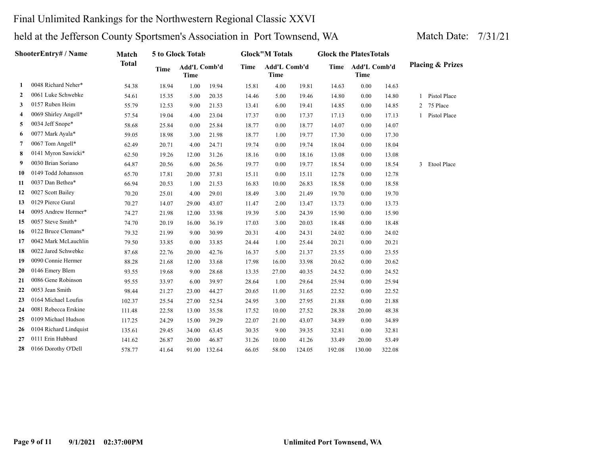### Final Unlimited Rankings for the Northwestern Regional Classic XXVI

|                | ShooterEntry# / Name   | Match        |             | 5 to Glock Totals           |        |       | <b>Glock</b> "M Totals      |        | <b>Glock the PlatesTotals</b> |                      |        |   |                             |
|----------------|------------------------|--------------|-------------|-----------------------------|--------|-------|-----------------------------|--------|-------------------------------|----------------------|--------|---|-----------------------------|
|                |                        | <b>Total</b> | <b>Time</b> | Add'L Comb'd<br><b>Time</b> |        | Time  | Add'L Comb'd<br><b>Time</b> |        | Time                          | Add'L Comb'd<br>Time |        |   | <b>Placing &amp; Prizes</b> |
| 1              | 0048 Richard Neher*    | 54.38        | 18.94       | 1.00                        | 19.94  | 15.81 | 4.00                        | 19.81  | 14.63                         | 0.00                 | 14.63  |   |                             |
| $\overline{2}$ | 0061 Luke Schwebke     | 54.61        | 15.35       | 5.00                        | 20.35  | 14.46 | 5.00                        | 19.46  | 14.80                         | 0.00                 | 14.80  | 1 | Pistol Place                |
| 3              | 0157 Ruben Heim        | 55.79        | 12.53       | 9.00                        | 21.53  | 13.41 | 6.00                        | 19.41  | 14.85                         | 0.00                 | 14.85  | 2 | 75 Place                    |
| 4              | 0069 Shirley Angell*   | 57.54        | 19.04       | 4.00                        | 23.04  | 17.37 | 0.00                        | 17.37  | 17.13                         | 0.00                 | 17.13  |   | Pistol Place                |
| 5              | 0034 Jeff Snope*       | 58.68        | 25.84       | 0.00                        | 25.84  | 18.77 | 0.00                        | 18.77  | 14.07                         | 0.00                 | 14.07  |   |                             |
| 6              | 0077 Mark Ayala*       | 59.05        | 18.98       | 3.00                        | 21.98  | 18.77 | 1.00                        | 19.77  | 17.30                         | 0.00                 | 17.30  |   |                             |
| 7              | 0067 Tom Angell*       | 62.49        | 20.71       | 4.00                        | 24.71  | 19.74 | 0.00                        | 19.74  | 18.04                         | 0.00                 | 18.04  |   |                             |
| 8              | 0141 Myron Sawicki*    | 62.50        | 19.26       | 12.00                       | 31.26  | 18.16 | 0.00                        | 18.16  | 13.08                         | 0.00                 | 13.08  |   |                             |
| 9              | 0030 Brian Soriano     | 64.87        | 20.56       | 6.00                        | 26.56  | 19.77 | 0.00                        | 19.77  | 18.54                         | 0.00                 | 18.54  | 3 | Etool Place                 |
| 10             | 0149 Todd Johansson    | 65.70        | 17.81       | 20.00                       | 37.81  | 15.11 | $0.00\,$                    | 15.11  | 12.78                         | 0.00                 | 12.78  |   |                             |
| 11             | 0037 Dan Bethea*       | 66.94        | 20.53       | 1.00                        | 21.53  | 16.83 | 10.00                       | 26.83  | 18.58                         | 0.00                 | 18.58  |   |                             |
| 12             | 0027 Scott Bailey      | 70.20        | 25.01       | 4.00                        | 29.01  | 18.49 | 3.00                        | 21.49  | 19.70                         | 0.00                 | 19.70  |   |                             |
| 13             | 0129 Pierce Gural      | 70.27        | 14.07       | 29.00                       | 43.07  | 11.47 | 2.00                        | 13.47  | 13.73                         | 0.00                 | 13.73  |   |                             |
| 14             | 0095 Andrew Hermer*    | 74.27        | 21.98       | 12.00                       | 33.98  | 19.39 | 5.00                        | 24.39  | 15.90                         | 0.00                 | 15.90  |   |                             |
| 15             | 0057 Steve Smith*      | 74.70        | 20.19       | 16.00                       | 36.19  | 17.03 | 3.00                        | 20.03  | 18.48                         | 0.00                 | 18.48  |   |                             |
| 16             | 0122 Bruce Clemans*    | 79.32        | 21.99       | 9.00                        | 30.99  | 20.31 | 4.00                        | 24.31  | 24.02                         | 0.00                 | 24.02  |   |                             |
| 17             | 0042 Mark McLauchlin   | 79.50        | 33.85       | 0.00                        | 33.85  | 24.44 | 1.00                        | 25.44  | 20.21                         | 0.00                 | 20.21  |   |                             |
| 18             | 0022 Jared Schwebke    | 87.68        | 22.76       | 20.00                       | 42.76  | 16.37 | 5.00                        | 21.37  | 23.55                         | 0.00                 | 23.55  |   |                             |
| 19             | 0090 Connie Hermer     | 88.28        | 21.68       | 12.00                       | 33.68  | 17.98 | 16.00                       | 33.98  | 20.62                         | 0.00                 | 20.62  |   |                             |
| 20             | 0146 Emery Blem        | 93.55        | 19.68       | 9.00                        | 28.68  | 13.35 | 27.00                       | 40.35  | 24.52                         | 0.00                 | 24.52  |   |                             |
| 21             | 0086 Gene Robinson     | 95.55        | 33.97       | 6.00                        | 39.97  | 28.64 | 1.00                        | 29.64  | 25.94                         | 0.00                 | 25.94  |   |                             |
| 22             | 0053 Jean Smith        | 98.44        | 21.27       | 23.00                       | 44.27  | 20.65 | 11.00                       | 31.65  | 22.52                         | 0.00                 | 22.52  |   |                             |
| 23             | 0164 Michael Loufus    | 102.37       | 25.54       | 27.00                       | 52.54  | 24.95 | 3.00                        | 27.95  | 21.88                         | 0.00                 | 21.88  |   |                             |
| 24             | 0081 Rebecca Erskine   | 111.48       | 22.58       | 13.00                       | 35.58  | 17.52 | 10.00                       | 27.52  | 28.38                         | 20.00                | 48.38  |   |                             |
| 25             | 0109 Michael Hudson    | 117.25       | 24.29       | 15.00                       | 39.29  | 22.07 | 21.00                       | 43.07  | 34.89                         | 0.00                 | 34.89  |   |                             |
| 26             | 0104 Richard Lindquist | 135.61       | 29.45       | 34.00                       | 63.45  | 30.35 | 9.00                        | 39.35  | 32.81                         | 0.00                 | 32.81  |   |                             |
| 27             | 0111 Erin Hubbard      | 141.62       | 26.87       | 20.00                       | 46.87  | 31.26 | 10.00                       | 41.26  | 33.49                         | 20.00                | 53.49  |   |                             |
| 28             | 0166 Dorothy O'Dell    | 578.77       | 41.64       | 91.00                       | 132.64 | 66.05 | 58.00                       | 124.05 | 192.08                        | 130.00               | 322.08 |   |                             |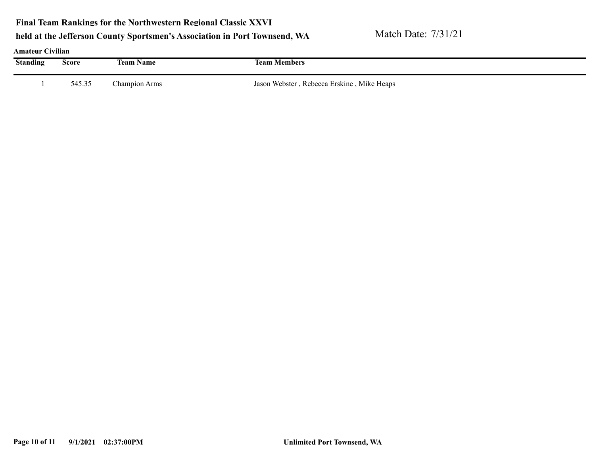**Final Team Rankings for the Northwestern Regional Classic XXVI**

### held at the Jefferson County Sportsmen's Association in Port Townsend, WA Match Date: 7/31/21

### **Amateur Civilian**

| Traducture Cryman<br><b>Standing</b> | Score  | <b>Team Name</b> | <b>Team Members</b>                        |
|--------------------------------------|--------|------------------|--------------------------------------------|
|                                      | 545.35 | Champion Arms    | Jason Webster, Rebecca Erskine, Mike Heaps |